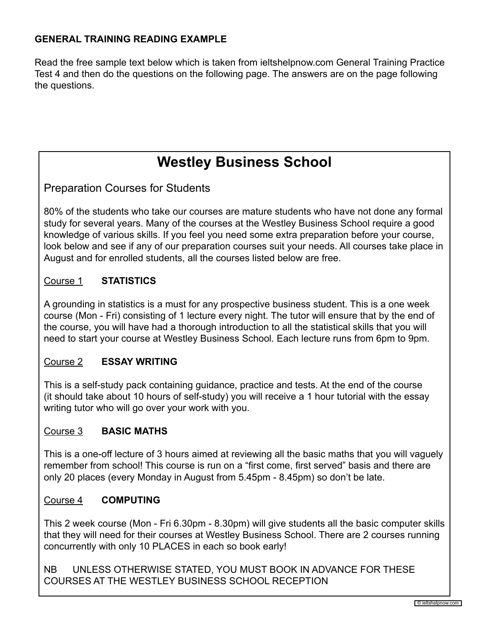# **GENERAL TRAINING READING EXAMPLE**

Read the free sample text below which is taken from ieltshelpnow.com General Training Practice Test 4 and then do the questions on the following page. The answers are on the page following the questions.

# **Westley Business School**

Preparation Courses for Students

80% of the students who take our courses are mature students who have not done any formal study for several years. Many of the courses at the Westley Business School require a good knowledge of various skills. If you feel you need some extra preparation before your course, look below and see if any of our preparation courses suit your needs. All courses take place in August and for enrolled students, all the courses listed below are free.

# Course 1 **STATISTICS**

A grounding in statistics is a must for any prospective business student. This is a one week course (Mon - Fri) consisting of 1 lecture every night. The tutor will ensure that by the end of the course, you will have had a thorough introduction to all the statistical skills that you will need to start your course at Westley Business School. Each lecture runs from 6pm to 9pm.

### Course 2 **ESSAY WRITING**

This is a self-study pack containing guidance, practice and tests. At the end of the course (it should take about 10 hours of self-study) you will receive a 1 hour tutorial with the essay writing tutor who will go over your work with you.

#### Course 3 **BASIC MATHS**

This is a one-off lecture of 3 hours aimed at reviewing all the basic maths that you will vaguely remember from school! This course is run on a "first come, first served" basis and there are only 20 places (every Monday in August from 5.45pm - 8.45pm) so don't be late.

#### Course 4 **COMPUTING**

This 2 week course (Mon - Fri 6.30pm - 8.30pm) will give students all the basic computer skills that they will need for their courses at Westley Business School. There are 2 courses running concurrently with only 10 PLACES in each so book early!

NB UNLESS OTHERWISE STATED, YOU MUST BOOK IN ADVANCE FOR THESE COURSES AT THE WESTLEY BUSINESS SCHOOL RECEPTION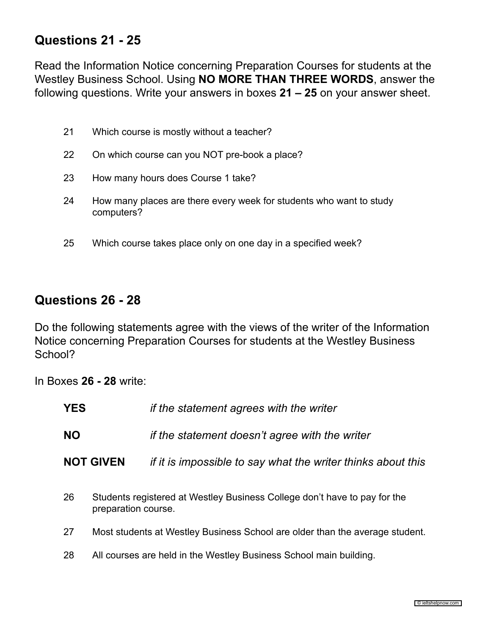# **Questions 21 - 25**

Read the Information Notice concerning Preparation Courses for students at the Westley Business School. Using **NO MORE THAN THREE WORDS**, answer the following questions. Write your answers in boxes **21 – 25** on your answer sheet.

| 21 | Which course is mostly without a teacher?                                         |
|----|-----------------------------------------------------------------------------------|
| 22 | On which course can you NOT pre-book a place?                                     |
| 23 | How many hours does Course 1 take?                                                |
| 24 | How many places are there every week for students who want to study<br>computers? |
| 25 | Which course takes place only on one day in a specified week?                     |

# **Questions 26 - 28**

Do the following statements agree with the views of the writer of the Information Notice concerning Preparation Courses for students at the Westley Business School?

In Boxes **26 - 28** write:

| YES       |                     | if the statement agrees with the writer                                      |
|-----------|---------------------|------------------------------------------------------------------------------|
| <b>NO</b> |                     | if the statement doesn't agree with the writer                               |
|           | <b>NOT GIVEN</b>    | if it is impossible to say what the writer thinks about this                 |
| 26        | preparation course. | Students registered at Westley Business College don't have to pay for the    |
| 27        |                     | Most students at Westley Business School are older than the average student. |
| 28        |                     | All courses are held in the Westley Business School main building.           |
|           |                     |                                                                              |